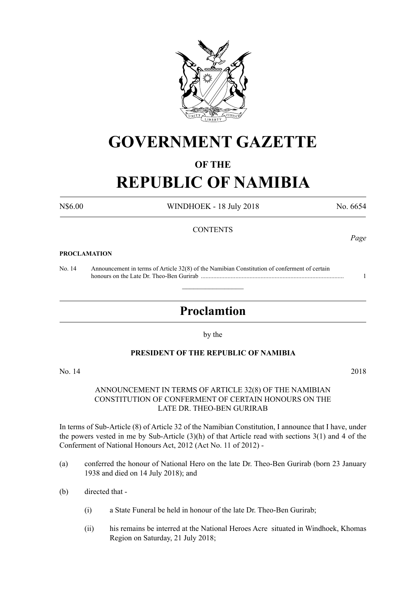

# **GOVERNMENT GAZETTE**

# **OF THE**

# **REPUBLIC OF NAMIBIA**

N\$6.00 WINDHOEK - 18 July 2018 No. 6654

## **CONTENTS**

#### **PROCLAMATION**

No. 14 Announcement in terms of Article 32(8) of the Namibian Constitution of conferment of certain honours on the Late Dr. Theo-Ben Gurirab ........................................................................................... 1

# **Proclamtion**

 $\overline{\phantom{a}}$  , where  $\overline{\phantom{a}}$ 

by the

### **PRESIDENT OF THE REPUBLIC OF NAMIBIA**

No. 14 2018

### ANNOUNCEMENT IN TERMS OF ARTICLE 32(8) OF THE NAMIBIAN CONSTITUTION OF CONFERMENT OF CERTAIN HONOURS ON THE LATE DR. THEO-BEN GURIRAB

In terms of Sub-Article (8) of Article 32 of the Namibian Constitution, I announce that I have, under the powers vested in me by Sub-Article (3)(h) of that Article read with sections 3(1) and 4 of the Conferment of National Honours Act, 2012 (Act No. 11 of 2012) -

- (a) conferred the honour of National Hero on the late Dr. Theo-Ben Gurirab (born 23 January 1938 and died on 14 July 2018); and
- (b) directed that
	- (i) a State Funeral be held in honour of the late Dr. Theo-Ben Gurirab;
	- (ii) his remains be interred at the National Heroes Acre situated in Windhoek, Khomas Region on Saturday, 21 July 2018;

*Page*